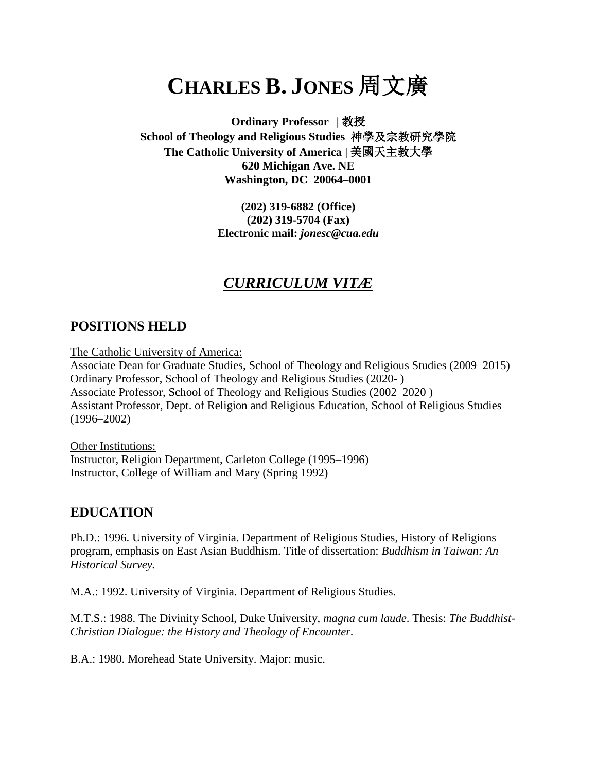# **CHARLES B. JONES** 周文廣

**Ordinary Professor |** 教授 **School of Theology and Religious Studies** 神學及宗教研究學院 **The Catholic University of America |** 美國天主教大學 **620 Michigan Ave. NE Washington, DC 20064–0001**

> **(202) 319-6882 (Office) (202) 319-5704 (Fax) Electronic mail:** *jonesc@cua.edu*

# *CURRICULUM VITÆ*

# **POSITIONS HELD**

The Catholic University of America:

Associate Dean for Graduate Studies, School of Theology and Religious Studies (2009–2015) Ordinary Professor, School of Theology and Religious Studies (2020- ) Associate Professor, School of Theology and Religious Studies (2002–2020 ) Assistant Professor, Dept. of Religion and Religious Education, School of Religious Studies (1996–2002)

Other Institutions: Instructor, Religion Department, Carleton College (1995–1996) Instructor, College of William and Mary (Spring 1992)

# **EDUCATION**

Ph.D.: 1996. University of Virginia. Department of Religious Studies, History of Religions program, emphasis on East Asian Buddhism. Title of dissertation: *Buddhism in Taiwan: An Historical Survey.*

M.A.: 1992. University of Virginia. Department of Religious Studies.

M.T.S.: 1988. The Divinity School, Duke University, *magna cum laude*. Thesis: *The Buddhist-Christian Dialogue: the History and Theology of Encounter.*

B.A.: 1980. Morehead State University. Major: music.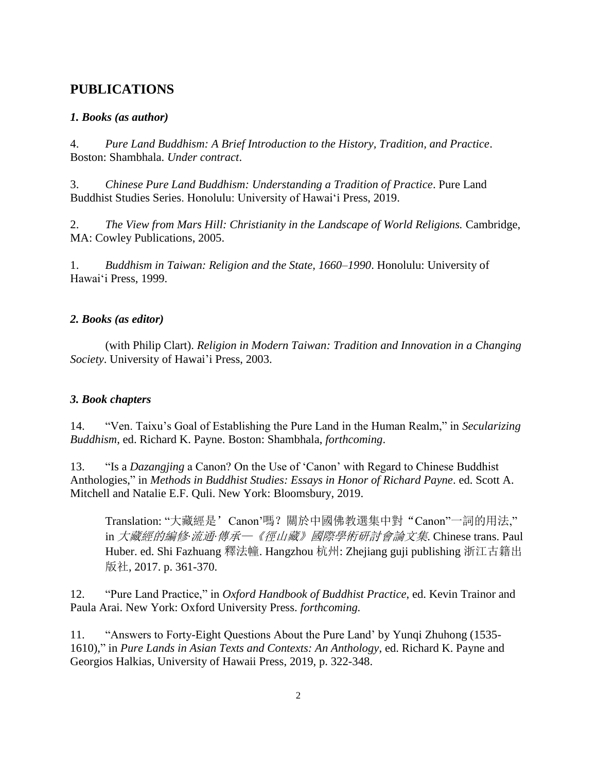# **PUBLICATIONS**

## *1. Books (as author)*

4. *Pure Land Buddhism: A Brief Introduction to the History, Tradition, and Practice*. Boston: Shambhala. *Under contract*.

3. *Chinese Pure Land Buddhism: Understanding a Tradition of Practice*. Pure Land Buddhist Studies Series. Honolulu: University of Hawai'i Press, 2019.

2. *The View from Mars Hill: Christianity in the Landscape of World Religions.* Cambridge, MA: Cowley Publications, 2005.

1. *Buddhism in Taiwan: Religion and the State, 1660–1990*. Honolulu: University of Hawai'i Press, 1999.

## *2. Books (as editor)*

(with Philip Clart). *Religion in Modern Taiwan: Tradition and Innovation in a Changing Society*. University of Hawai'i Press, 2003.

# *3. Book chapters*

14. "Ven. Taixu's Goal of Establishing the Pure Land in the Human Realm," in *Secularizing Buddhism*, ed. Richard K. Payne. Boston: Shambhala, *forthcoming*.

13. "Is a *Dazangjing* a Canon? On the Use of 'Canon' with Regard to Chinese Buddhist Anthologies," in *Methods in Buddhist Studies: Essays in Honor of Richard Payne*. ed. Scott A. Mitchell and Natalie E.F. Quli. New York: Bloomsbury, 2019.

Translation: "大藏經是'Canon'嗎?關於中國佛教選集中對"Canon"一詞的用法," in 大藏經的編修*‧*流通*‧*傳承—《徑山藏》國際學術研討會論文集. Chinese trans. Paul Huber. ed. Shi Fazhuang 釋法幢. Hangzhou 杭州: Zhejiang guji publishing 浙江古籍出 版社, 2017. p. 361-370.

12. "Pure Land Practice," in *Oxford Handbook of Buddhist Practice*, ed. Kevin Trainor and Paula Arai. New York: Oxford University Press. *forthcoming.*

11. "Answers to Forty-Eight Questions About the Pure Land' by Yunqi Zhuhong (1535- 1610)," in *Pure Lands in Asian Texts and Contexts: An Anthology*, ed. Richard K. Payne and Georgios Halkias, University of Hawaii Press, 2019, p. 322-348.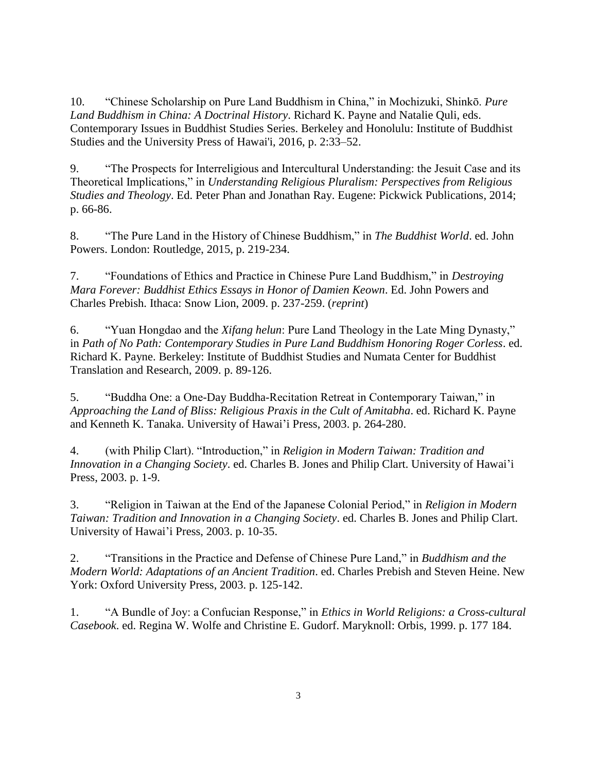10. "Chinese Scholarship on Pure Land Buddhism in China," in Mochizuki, Shinkō. *Pure Land Buddhism in China: A Doctrinal History*. Richard K. Payne and Natalie Quli, eds. Contemporary Issues in Buddhist Studies Series. Berkeley and Honolulu: Institute of Buddhist Studies and the University Press of Hawai'i, 2016, p. 2:33–52.

9. "The Prospects for Interreligious and Intercultural Understanding: the Jesuit Case and its Theoretical Implications," in *Understanding Religious Pluralism: Perspectives from Religious Studies and Theology*. Ed. Peter Phan and Jonathan Ray. Eugene: Pickwick Publications, 2014; p. 66-86.

8. "The Pure Land in the History of Chinese Buddhism," in *The Buddhist World*. ed. John Powers. London: Routledge, 2015, p. 219-234.

7. "Foundations of Ethics and Practice in Chinese Pure Land Buddhism," in *Destroying Mara Forever: Buddhist Ethics Essays in Honor of Damien Keown*. Ed. John Powers and Charles Prebish. Ithaca: Snow Lion, 2009. p. 237-259. (*reprint*)

6. "Yuan Hongdao and the *Xifang helun*: Pure Land Theology in the Late Ming Dynasty," in *Path of No Path: Contemporary Studies in Pure Land Buddhism Honoring Roger Corless*. ed. Richard K. Payne. Berkeley: Institute of Buddhist Studies and Numata Center for Buddhist Translation and Research, 2009. p. 89-126.

5. "Buddha One: a One-Day Buddha-Recitation Retreat in Contemporary Taiwan," in *Approaching the Land of Bliss: Religious Praxis in the Cult of Amitabha*. ed. Richard K. Payne and Kenneth K. Tanaka. University of Hawai'i Press, 2003. p. 264-280.

4. (with Philip Clart). "Introduction," in *Religion in Modern Taiwan: Tradition and Innovation in a Changing Society*. ed. Charles B. Jones and Philip Clart. University of Hawai'i Press, 2003. p. 1-9.

3. "Religion in Taiwan at the End of the Japanese Colonial Period," in *Religion in Modern Taiwan: Tradition and Innovation in a Changing Society*. ed. Charles B. Jones and Philip Clart. University of Hawai'i Press, 2003. p. 10-35.

2. "Transitions in the Practice and Defense of Chinese Pure Land," in *Buddhism and the Modern World: Adaptations of an Ancient Tradition*. ed. Charles Prebish and Steven Heine. New York: Oxford University Press, 2003. p. 125-142.

1. "A Bundle of Joy: a Confucian Response," in *Ethics in World Religions: a Cross-cultural Casebook*. ed. Regina W. Wolfe and Christine E. Gudorf. Maryknoll: Orbis, 1999. p. 177 184.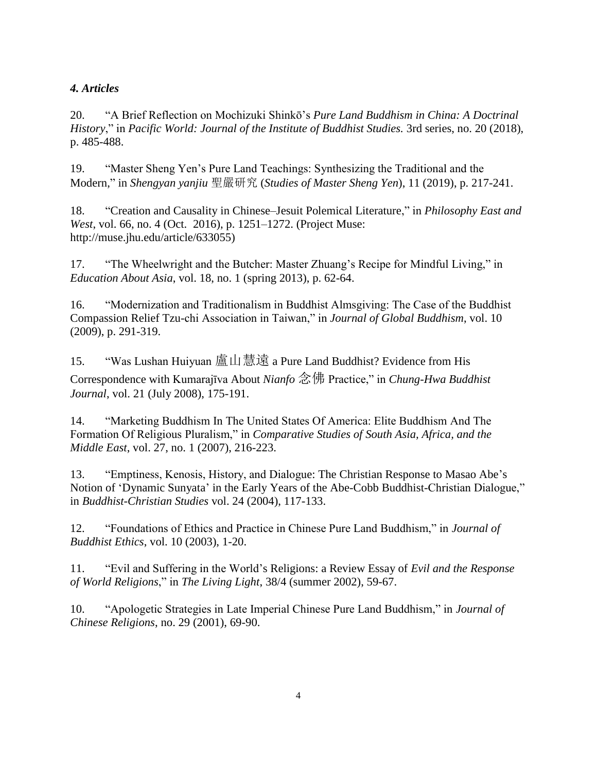# *4. Articles*

20. "A Brief Reflection on Mochizuki Shinkō's *Pure Land Buddhism in China: A Doctrinal History*," in *Pacific World: Journal of the Institute of Buddhist Studies.* 3rd series, no. 20 (2018), p. 485-488.

19. "Master Sheng Yen's Pure Land Teachings: Synthesizing the Traditional and the Modern," in *Shengyan yanjiu* 聖嚴研究 (*Studies of Master Sheng Yen*), 11 (2019), p. 217-241.

18. "Creation and Causality in Chinese–Jesuit Polemical Literature," in *Philosophy East and West*, vol. 66, no. 4 (Oct. 2016), p. 1251–1272. (Project Muse: http://muse.jhu.edu/article/633055)

17. "The Wheelwright and the Butcher: Master Zhuang's Recipe for Mindful Living," in *Education About Asia*, vol. 18, no. 1 (spring 2013), p. 62-64.

16. "Modernization and Traditionalism in Buddhist Almsgiving: The Case of the Buddhist Compassion Relief Tzu-chi Association in Taiwan," in *Journal of Global Buddhism*, vol. 10 (2009), p. 291-319.

15. "Was Lushan Huiyuan 盧山慧遠 a Pure Land Buddhist? Evidence from His Correspondence with Kumarajīva About *Nianfo* 念佛 Practice," in *Chung-Hwa Buddhist Journal*, vol. 21 (July 2008), 175-191.

14. "Marketing Buddhism In The United States Of America: Elite Buddhism And The Formation Of Religious Pluralism," in *Comparative Studies of South Asia, Africa, and the Middle East*, vol. 27, no. 1 (2007), 216-223.

13. "Emptiness, Kenosis, History, and Dialogue: The Christian Response to Masao Abe's Notion of 'Dynamic Sunyata' in the Early Years of the Abe-Cobb Buddhist-Christian Dialogue," in *Buddhist-Christian Studies* vol. 24 (2004), 117-133.

12. "Foundations of Ethics and Practice in Chinese Pure Land Buddhism," in *Journal of Buddhist Ethics*, vol. 10 (2003), 1-20.

11. "Evil and Suffering in the World's Religions: a Review Essay of *Evil and the Response of World Religions*," in *The Living Light*, 38/4 (summer 2002), 59-67.

10. "Apologetic Strategies in Late Imperial Chinese Pure Land Buddhism," in *Journal of Chinese Religions*, no. 29 (2001), 69-90.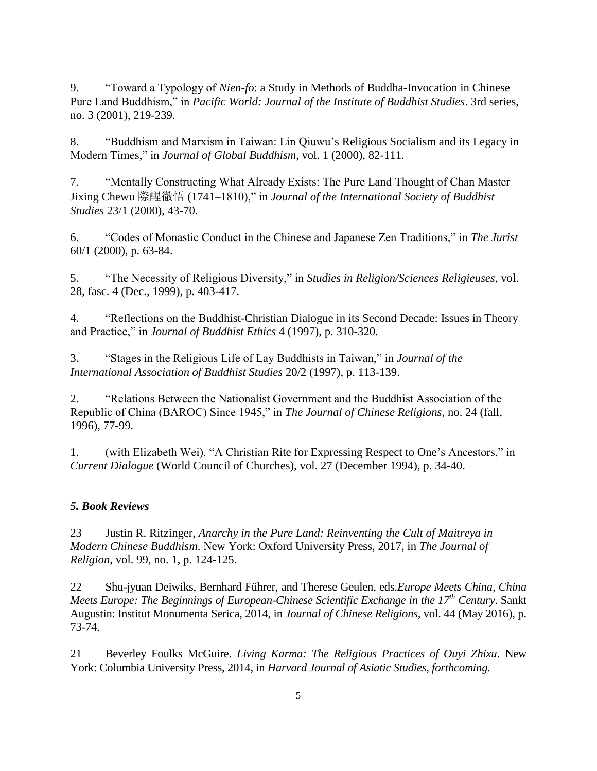9. "Toward a Typology of *Nien-fo*: a Study in Methods of Buddha-Invocation in Chinese Pure Land Buddhism," in *Pacific World: Journal of the Institute of Buddhist Studies*. 3rd series, no. 3 (2001), 219-239.

8. "Buddhism and Marxism in Taiwan: Lin Qiuwu's Religious Socialism and its Legacy in Modern Times," in *Journal of Global Buddhism*, vol. 1 (2000), 82-111.

7. "Mentally Constructing What Already Exists: The Pure Land Thought of Chan Master Jixing Chewu 際醒徹悟 (1741–1810)," in *Journal of the International Society of Buddhist Studies* 23/1 (2000), 43-70.

6. "Codes of Monastic Conduct in the Chinese and Japanese Zen Traditions," in *The Jurist* 60/1 (2000), p. 63-84.

5. "The Necessity of Religious Diversity," in *Studies in Religion/Sciences Religieuses*, vol. 28, fasc. 4 (Dec., 1999), p. 403-417.

4. "Reflections on the Buddhist-Christian Dialogue in its Second Decade: Issues in Theory and Practice," in *Journal of Buddhist Ethics* 4 (1997), p. 310-320.

3. "Stages in the Religious Life of Lay Buddhists in Taiwan," in *Journal of the International Association of Buddhist Studies* 20/2 (1997), p. 113-139.

2. "Relations Between the Nationalist Government and the Buddhist Association of the Republic of China (BAROC) Since 1945," in *The Journal of Chinese Religions*, no. 24 (fall, 1996), 77-99.

1. (with Elizabeth Wei). "A Christian Rite for Expressing Respect to One's Ancestors," in *Current Dialogue* (World Council of Churches), vol. 27 (December 1994), p. 34-40.

# *5. Book Reviews*

23 Justin R. Ritzinger, *Anarchy in the Pure Land: Reinventing the Cult of Maitreya in Modern Chinese Buddhism*. New York: Oxford University Press, 2017, in *The Journal of Religion*, vol. 99, no. 1, p. 124-125.

22 Shu-jyuan Deiwiks, Bernhard Führer, and Therese Geulen, eds.*Europe Meets China, China Meets Europe: The Beginnings of European-Chinese Scientific Exchange in the 17th Century*. Sankt Augustin: Institut Monumenta Serica, 2014, in *Journal of Chinese Religions,* vol. 44 (May 2016), p. 73-74.

21 Beverley Foulks McGuire. *Living Karma: The Religious Practices of Ouyi Zhixu*. New York: Columbia University Press, 2014, in *Harvard Journal of Asiatic Studies*, *forthcoming*.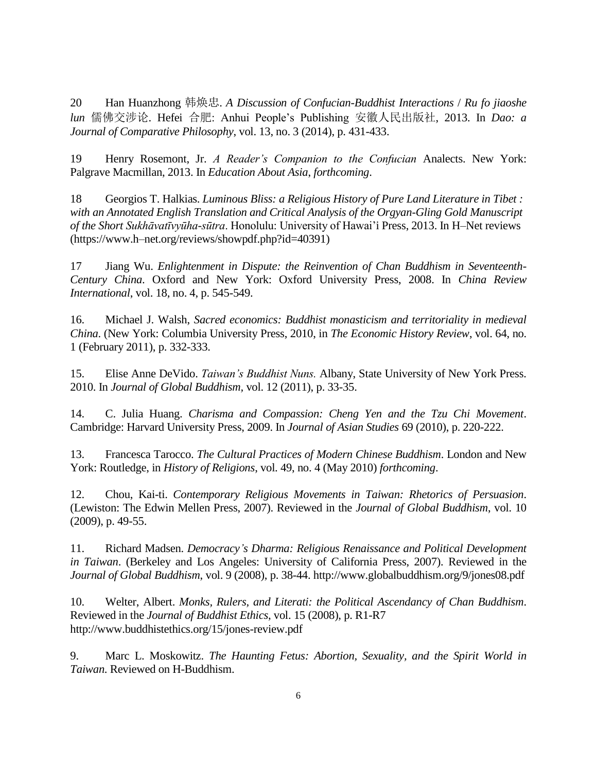20 Han Huanzhong 韩焕忠. *A Discussion of Confucian-Buddhist Interactions* / *Ru fo jiaoshe lun* 儒佛交涉论. Hefei 合肥: Anhui People's Publishing 安徽人民出版社, 2013. In *Dao: a Journal of Comparative Philosophy*, vol. 13, no. 3 (2014), p. 431-433.

19 Henry Rosemont, Jr. *A Reader's Companion to the Confucian* Analects. New York: Palgrave Macmillan, 2013. In *Education About Asia*, *forthcoming*.

18 Georgios T. Halkias. *Luminous Bliss: a Religious History of Pure Land Literature in Tibet : with an Annotated English Translation and Critical Analysis of the Orgyan-Gling Gold Manuscript of the Short Sukhāvatīvyūha-sūtra*. Honolulu: University of Hawai'i Press, 2013. In H–Net reviews (https://www.h–net.org/reviews/showpdf.php?id=40391)

17 Jiang Wu. *Enlightenment in Dispute: the Reinvention of Chan Buddhism in Seventeenth-Century China*. Oxford and New York: Oxford University Press, 2008. In *China Review International*, vol. 18, no. 4, p. 545-549.

16. Michael J. Walsh, *Sacred economics: Buddhist monasticism and territoriality in medieval China*. (New York: Columbia University Press, 2010, in *The Economic History Review*, vol. 64, no. 1 (February 2011), p. 332-333.

15. Elise Anne DeVido. *Taiwan's Buddhist Nuns.* Albany, State University of New York Press. 2010. In *Journal of Global Buddhism,* vol. 12 (2011), p. 33-35.

14. C. Julia Huang. *Charisma and Compassion: Cheng Yen and the Tzu Chi Movement*. Cambridge: Harvard University Press, 2009. In *Journal of Asian Studies* 69 (2010), p. 220-222.

13. Francesca Tarocco. *The Cultural Practices of Modern Chinese Buddhism*. London and New York: Routledge, in *History of Religions*, vol. 49, no. 4 (May 2010) *forthcoming*.

12. Chou, Kai-ti. *Contemporary Religious Movements in Taiwan: Rhetorics of Persuasion*. (Lewiston: The Edwin Mellen Press, 2007). Reviewed in the *Journal of Global Buddhism*, vol. 10 (2009), p. 49-55.

11. Richard Madsen. *Democracy's Dharma: Religious Renaissance and Political Development in Taiwan*. (Berkeley and Los Angeles: University of California Press, 2007). Reviewed in the *Journal of Global Buddhism*, vol. 9 (2008), p. 38-44. http://www.globalbuddhism.org/9/jones08.pdf

10. Welter, Albert. *Monks, Rulers, and Literati: the Political Ascendancy of Chan Buddhism*. Reviewed in the *Journal of Buddhist Ethics*, vol. 15 (2008), p. R1-R7 http://www.buddhistethics.org/15/jones-review.pdf

9. Marc L. Moskowitz. *The Haunting Fetus: Abortion, Sexuality, and the Spirit World in Taiwan*. Reviewed on H-Buddhism.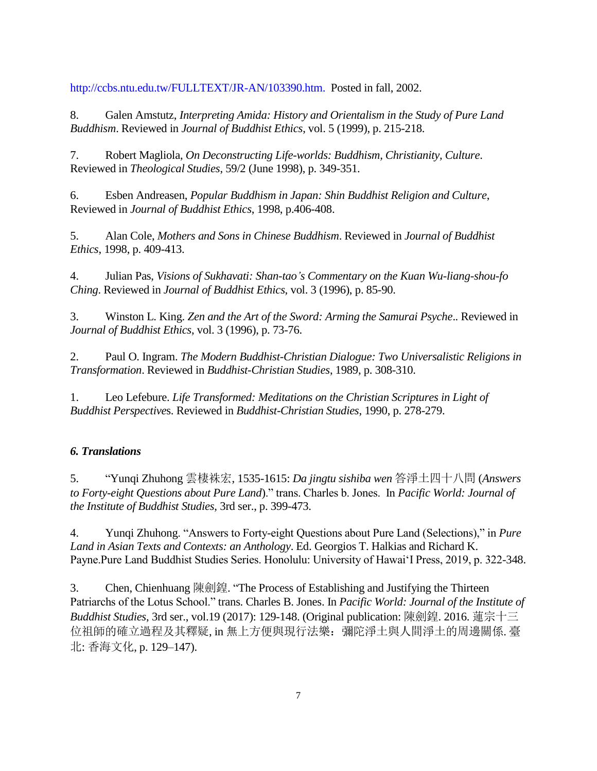[http://ccbs.ntu.edu.tw/FULLTEXT/JR-AN/103390.htm.](http://www2.h-net.msu.edu/reviews.) Posted in fall, 2002.

8. Galen Amstutz, *Interpreting Amida: History and Orientalism in the Study of Pure Land Buddhism*. Reviewed in *Journal of Buddhist Ethics*, vol. 5 (1999), p. 215-218.

7. Robert Magliola, *On Deconstructing Life-worlds: Buddhism, Christianity, Culture*. Reviewed in *Theological Studies*, 59/2 (June 1998), p. 349-351.

6. Esben Andreasen, *Popular Buddhism in Japan: Shin Buddhist Religion and Culture*, Reviewed in *Journal of Buddhist Ethics*, 1998, p.406-408.

5. Alan Cole, *Mothers and Sons in Chinese Buddhism*. Reviewed in *Journal of Buddhist Ethics*, 1998, p. 409-413.

4. Julian Pas, *Visions of Sukhavati: Shan-tao's Commentary on the Kuan Wu-liang-shou-fo Ching*. Reviewed in *Journal of Buddhist Ethics*, vol. 3 (1996), p. 85-90.

3. Winston L. King. *Zen and the Art of the Sword: Arming the Samurai Psyche*.. Reviewed in *Journal of Buddhist Ethics*, vol. 3 (1996), p. 73-76.

2. Paul O. Ingram. *The Modern Buddhist-Christian Dialogue: Two Universalistic Religions in Transformation*. Reviewed in *Buddhist-Christian Studies*, 1989, p. 308-310.

1. Leo Lefebure. *Life Transformed: Meditations on the Christian Scriptures in Light of Buddhist Perspective*s. Reviewed in *Buddhist-Christian Studies*, 1990, p. 278-279.

# *6. Translations*

5. "Yunqi Zhuhong 雲棲袾宏, 1535-1615: *Da jingtu sishiba wen* 答淨土四十八問 (*Answers to Forty-eight Questions about Pure Land*)." trans. Charles b. Jones. In *Pacific World: Journal of the Institute of Buddhist Studies*, 3rd ser., p. 399-473.

4. Yunqi Zhuhong. "Answers to Forty-eight Questions about Pure Land (Selections)," in *Pure Land in Asian Texts and Contexts: an Anthology*. Ed. Georgios T. Halkias and Richard K. Payne.Pure Land Buddhist Studies Series. Honolulu: University of Hawai'I Press, 2019, p. 322-348.

3. Chen, Chienhuang 陳劍鍠. "The Process of Establishing and Justifying the Thirteen Patriarchs of the Lotus School." trans. Charles B. Jones. In *Pacific World: Journal of the Institute of Buddhist Studies*, 3rd ser., vol.19 (2017): 129-148. (Original publication: 陳劍鍠. 2016. 蓮宗十三 位祖師的確立過程及其釋疑, in 無上方便與現行法樂: 彌陀淨土與人間淨土的周邊關係. 臺 北: 香海文化, p. 129–147).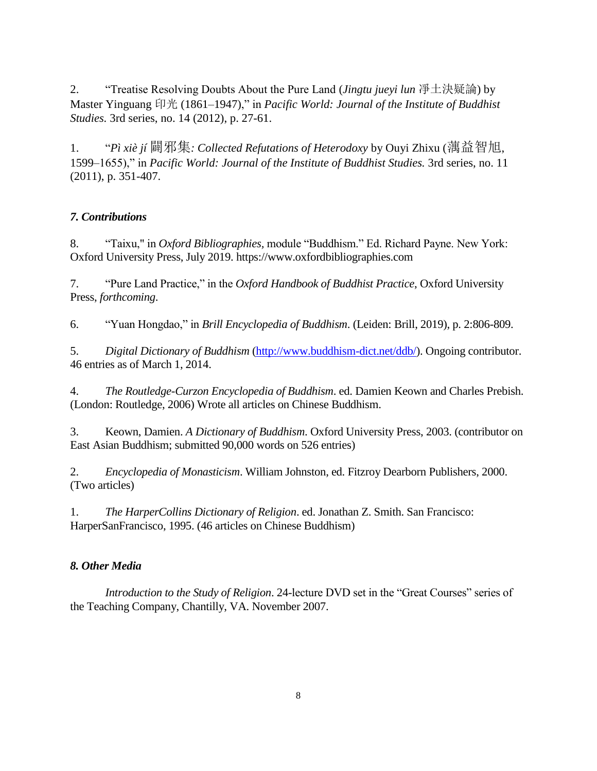2. "Treatise Resolving Doubts About the Pure Land (*Jingtu jueyi lun* 凈土決疑論) by Master Yinguang 印光 (1861–1947)," in *Pacific World: Journal of the Institute of Buddhist Studies.* 3rd series, no. 14 (2012), p. 27-61.

1. "*Pì xiè jí* 闢邪集*: Collected Refutations of Heterodoxy* by Ouyi Zhixu (蕅益智旭, 1599–1655)," in *Pacific World: Journal of the Institute of Buddhist Studies.* 3rd series, no. 11 (2011), p. 351-407.

# *7. Contributions*

8. "Taixu," in *Oxford Bibliographies,* module "Buddhism." Ed. Richard Payne. New York: Oxford University Press, July 2019. https://www.oxfordbibliographies.com

7. "Pure Land Practice," in the *Oxford Handbook of Buddhist Practice*, Oxford University Press, *forthcoming*.

6. "Yuan Hongdao," in *Brill Encyclopedia of Buddhism*. (Leiden: Brill, 2019), p. 2:806-809.

5. *Digital Dictionary of Buddhism* [\(http://www.buddhism-dict.net/ddb/\)](http://www.buddhism-dict.net/ddb/). Ongoing contributor. 46 entries as of March 1, 2014.

4. *The Routledge-Curzon Encyclopedia of Buddhism*. ed. Damien Keown and Charles Prebish. (London: Routledge, 2006) Wrote all articles on Chinese Buddhism.

3. Keown, Damien. *A Dictionary of Buddhism*. Oxford University Press, 2003. (contributor on East Asian Buddhism; submitted 90,000 words on 526 entries)

2. *Encyclopedia of Monasticism*. William Johnston, ed. Fitzroy Dearborn Publishers, 2000. (Two articles)

1. *The HarperCollins Dictionary of Religion*. ed. Jonathan Z. Smith. San Francisco: HarperSanFrancisco, 1995. (46 articles on Chinese Buddhism)

# *8. Other Media*

*Introduction to the Study of Religion*. 24-lecture DVD set in the "Great Courses" series of the Teaching Company, Chantilly, VA. November 2007.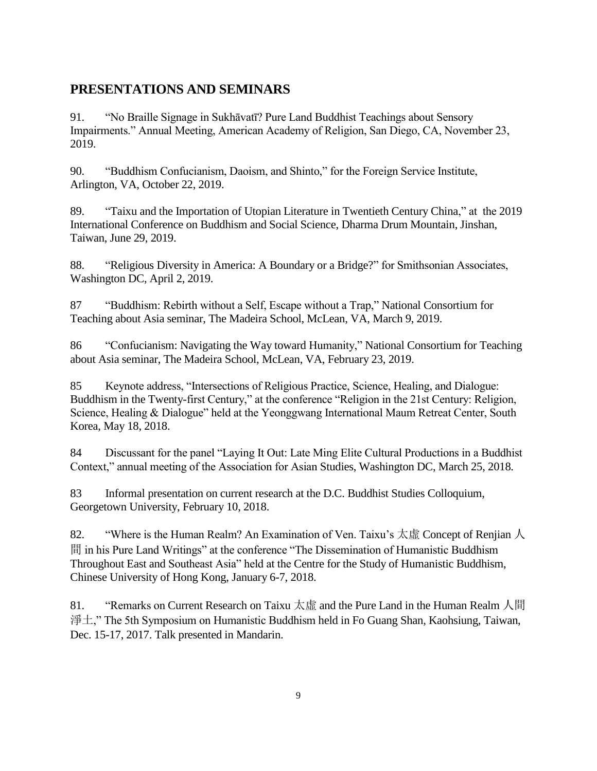# **PRESENTATIONS AND SEMINARS**

91. "No Braille Signage in Sukhāvatī? Pure Land Buddhist Teachings about Sensory Impairments." Annual Meeting, American Academy of Religion, San Diego, CA, November 23, 2019.

90. "Buddhism Confucianism, Daoism, and Shinto," for the Foreign Service Institute, Arlington, VA, October 22, 2019.

89. "Taixu and the Importation of Utopian Literature in Twentieth Century China," at the 2019 International Conference on Buddhism and Social Science, Dharma Drum Mountain, Jinshan, Taiwan, June 29, 2019.

88. "Religious Diversity in America: A Boundary or a Bridge?" for Smithsonian Associates, Washington DC, April 2, 2019.

87 "Buddhism: Rebirth without a Self, Escape without a Trap," National Consortium for Teaching about Asia seminar, The Madeira School, McLean, VA, March 9, 2019.

86 "Confucianism: Navigating the Way toward Humanity," National Consortium for Teaching about Asia seminar, The Madeira School, McLean, VA, February 23, 2019.

85 Keynote address, "Intersections of Religious Practice, Science, Healing, and Dialogue: Buddhism in the Twenty-first Century," at the conference "Religion in the 21st Century: Religion, Science, Healing & Dialogue" held at the Yeonggwang International Maum Retreat Center, South Korea, May 18, 2018.

84 Discussant for the panel "Laying It Out: Late Ming Elite Cultural Productions in a Buddhist Context," annual meeting of the Association for Asian Studies, Washington DC, March 25, 2018.

83 Informal presentation on current research at the D.C. Buddhist Studies Colloquium, Georgetown University, February 10, 2018.

82. "Where is the Human Realm? An Examination of Ven. Taixu's  $\overline{\mathcal{R}}$   $\overline{\mathbb{E}}$  Concept of Renjian  $\overline{\mathcal{R}}$ 間 in his Pure Land Writings" at the conference "The Dissemination of Humanistic Buddhism Throughout East and Southeast Asia" held at the Centre for the Study of Humanistic Buddhism, Chinese University of Hong Kong, January 6-7, 2018.

81. "Remarks on Current Research on Taixu 太虛 and the Pure Land in the Human Realm 人間 淨土," The 5th Symposium on Humanistic Buddhism held in Fo Guang Shan, Kaohsiung, Taiwan, Dec. 15-17, 2017. Talk presented in Mandarin.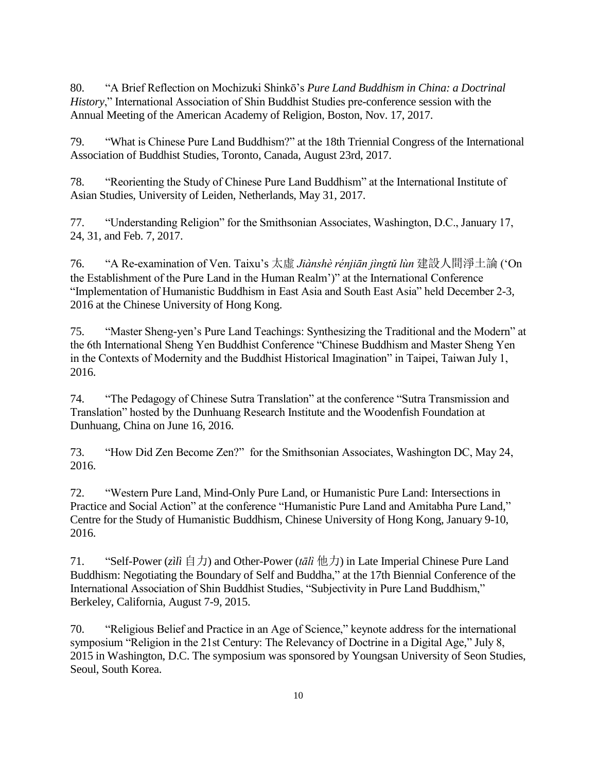80. "A Brief Reflection on Mochizuki Shinkō's *Pure Land Buddhism in China: a Doctrinal History*," International Association of Shin Buddhist Studies pre-conference session with the Annual Meeting of the American Academy of Religion, Boston, Nov. 17, 2017.

79. "What is Chinese Pure Land Buddhism?" at the 18th Triennial Congress of the International Association of Buddhist Studies, Toronto, Canada, August 23rd, 2017.

78. "Reorienting the Study of Chinese Pure Land Buddhism" at the International Institute of Asian Studies, University of Leiden, Netherlands, May 31, 2017.

77. "Understanding Religion" for the Smithsonian Associates, Washington, D.C., January 17, 24, 31, and Feb. 7, 2017.

76. "A Re-examination of Ven. Taixu's 太虛 *Jiànshè rénjiān jìngtǔ lùn* 建設人間淨土論 ('On the Establishment of the Pure Land in the Human Realm')" at the International Conference "Implementation of Humanistic Buddhism in East Asia and South East Asia" held December 2-3, 2016 at the Chinese University of Hong Kong.

75. "Master Sheng-yen's Pure Land Teachings: Synthesizing the Traditional and the Modern" at the 6th International Sheng Yen Buddhist Conference "Chinese Buddhism and Master Sheng Yen in the Contexts of Modernity and the Buddhist Historical Imagination" in Taipei, Taiwan July 1, 2016.

74. "The Pedagogy of Chinese Sutra Translation" at the conference "Sutra Transmission and Translation" hosted by the Dunhuang Research Institute and the Woodenfish Foundation at Dunhuang, China on June 16, 2016.

73. "How Did Zen Become Zen?" for the Smithsonian Associates, Washington DC, May 24, 2016.

72. "Western Pure Land, Mind-Only Pure Land, or Humanistic Pure Land: Intersections in Practice and Social Action" at the conference "Humanistic Pure Land and Amitabha Pure Land," Centre for the Study of Humanistic Buddhism, Chinese University of Hong Kong, January 9-10, 2016.

71. "Self-Power (*zìlì* 自力) and Other-Power (*tālì* 他力) in Late Imperial Chinese Pure Land Buddhism: Negotiating the Boundary of Self and Buddha," at the 17th Biennial Conference of the International Association of Shin Buddhist Studies, "Subjectivity in Pure Land Buddhism," Berkeley, California, August 7-9, 2015.

70. "Religious Belief and Practice in an Age of Science," keynote address for the international symposium "Religion in the 21st Century: The Relevancy of Doctrine in a Digital Age," July 8, 2015 in Washington, D.C. The symposium was sponsored by Youngsan University of Seon Studies, Seoul, South Korea.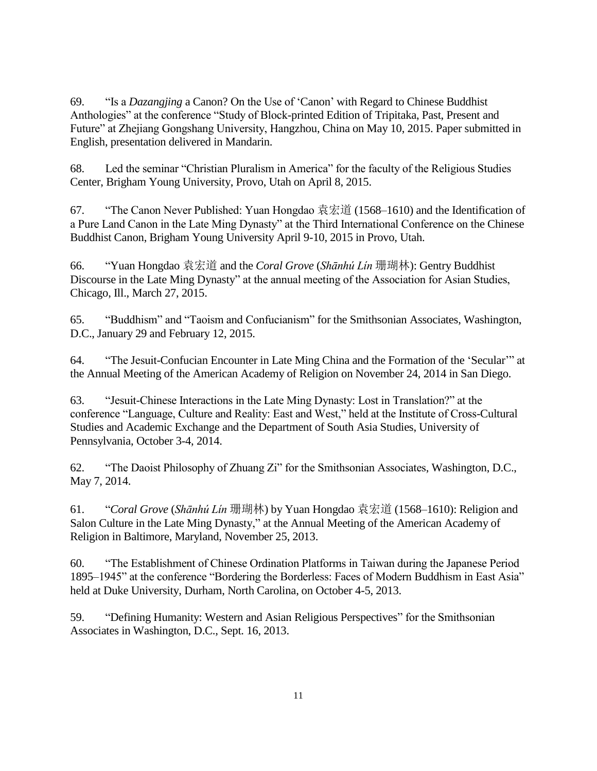69. "Is a *Dazangjing* a Canon? On the Use of 'Canon' with Regard to Chinese Buddhist Anthologies" at the conference "Study of Block-printed Edition of Tripitaka, Past, Present and Future" at Zhejiang Gongshang University, Hangzhou, China on May 10, 2015. Paper submitted in English, presentation delivered in Mandarin.

68. Led the seminar "Christian Pluralism in America" for the faculty of the Religious Studies Center, Brigham Young University, Provo, Utah on April 8, 2015.

67. "The Canon Never Published: Yuan Hongdao 袁宏道 (1568–1610) and the Identification of a Pure Land Canon in the Late Ming Dynasty" at the Third International Conference on the Chinese Buddhist Canon, Brigham Young University April 9-10, 2015 in Provo, Utah.

66. "Yuan Hongdao 袁宏道 and the *Coral Grove* (*Shānhú Lín* 珊瑚林): Gentry Buddhist Discourse in the Late Ming Dynasty" at the annual meeting of the Association for Asian Studies, Chicago, Ill., March 27, 2015.

65. "Buddhism" and "Taoism and Confucianism" for the Smithsonian Associates, Washington, D.C., January 29 and February 12, 2015.

64. "The Jesuit-Confucian Encounter in Late Ming China and the Formation of the 'Secular'" at the Annual Meeting of the American Academy of Religion on November 24, 2014 in San Diego.

63. "Jesuit-Chinese Interactions in the Late Ming Dynasty: Lost in Translation?" at the conference "Language, Culture and Reality: East and West," held at the Institute of Cross-Cultural Studies and Academic Exchange and the Department of South Asia Studies, University of Pennsylvania, October 3-4, 2014.

62. "The Daoist Philosophy of Zhuang Zi" for the Smithsonian Associates, Washington, D.C., May 7, 2014.

61. "*Coral Grove* (*Shānhú Lín* 珊瑚林) by Yuan Hongdao 袁宏道 (1568–1610): Religion and Salon Culture in the Late Ming Dynasty," at the Annual Meeting of the American Academy of Religion in Baltimore, Maryland, November 25, 2013.

60. "The Establishment of Chinese Ordination Platforms in Taiwan during the Japanese Period 1895–1945" at the conference "Bordering the Borderless: Faces of Modern Buddhism in East Asia" held at Duke University, Durham, North Carolina, on October 4-5, 2013.

59. "Defining Humanity: Western and Asian Religious Perspectives" for the Smithsonian Associates in Washington, D.C., Sept. 16, 2013.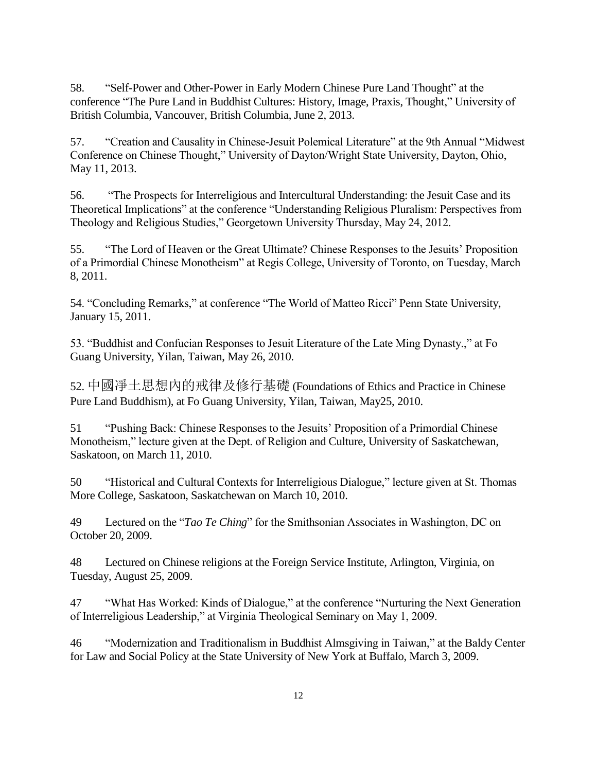58. "Self-Power and Other-Power in Early Modern Chinese Pure Land Thought" at the conference "The Pure Land in Buddhist Cultures: History, Image, Praxis, Thought," University of British Columbia, Vancouver, British Columbia, June 2, 2013.

57. "Creation and Causality in Chinese-Jesuit Polemical Literature" at the 9th Annual "Midwest Conference on Chinese Thought," University of Dayton/Wright State University, Dayton, Ohio, May 11, 2013.

56. "The Prospects for Interreligious and Intercultural Understanding: the Jesuit Case and its Theoretical Implications" at the conference "Understanding Religious Pluralism: Perspectives from Theology and Religious Studies," Georgetown University Thursday, May 24, 2012.

55. "The Lord of Heaven or the Great Ultimate? Chinese Responses to the Jesuits' Proposition of a Primordial Chinese Monotheism" at Regis College, University of Toronto, on Tuesday, March 8, 2011.

54. "Concluding Remarks," at conference "The World of Matteo Ricci" Penn State University, January 15, 2011.

53. "Buddhist and Confucian Responses to Jesuit Literature of the Late Ming Dynasty.," at Fo Guang University, Yilan, Taiwan, May 26, 2010.

52. 中國凈土思想內的戒律及修行基礎 (Foundations of Ethics and Practice in Chinese Pure Land Buddhism), at Fo Guang University, Yilan, Taiwan, May25, 2010.

51 "Pushing Back: Chinese Responses to the Jesuits' Proposition of a Primordial Chinese Monotheism," lecture given at the Dept. of Religion and Culture, University of Saskatchewan, Saskatoon, on March 11, 2010.

50 "Historical and Cultural Contexts for Interreligious Dialogue," lecture given at St. Thomas More College, Saskatoon, Saskatchewan on March 10, 2010.

49 Lectured on the "*Tao Te Ching*" for the Smithsonian Associates in Washington, DC on October 20, 2009.

48 Lectured on Chinese religions at the Foreign Service Institute, Arlington, Virginia, on Tuesday, August 25, 2009.

47 "What Has Worked: Kinds of Dialogue," at the conference "Nurturing the Next Generation of Interreligious Leadership," at Virginia Theological Seminary on May 1, 2009.

46 "Modernization and Traditionalism in Buddhist Almsgiving in Taiwan," at the Baldy Center for Law and Social Policy at the State University of New York at Buffalo, March 3, 2009.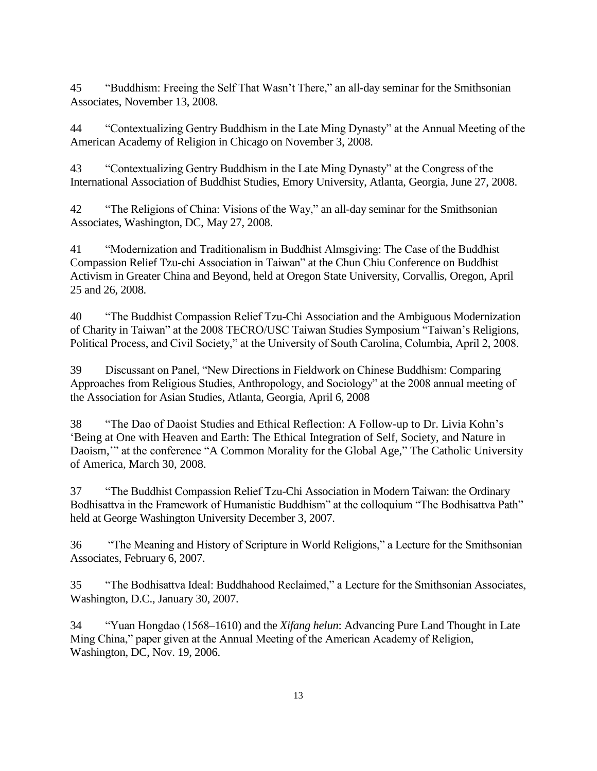45 "Buddhism: Freeing the Self That Wasn't There," an all-day seminar for the Smithsonian Associates, November 13, 2008.

44 "Contextualizing Gentry Buddhism in the Late Ming Dynasty" at the Annual Meeting of the American Academy of Religion in Chicago on November 3, 2008.

43 "Contextualizing Gentry Buddhism in the Late Ming Dynasty" at the Congress of the International Association of Buddhist Studies, Emory University, Atlanta, Georgia, June 27, 2008.

42 "The Religions of China: Visions of the Way," an all-day seminar for the Smithsonian Associates, Washington, DC, May 27, 2008.

41 "Modernization and Traditionalism in Buddhist Almsgiving: The Case of the Buddhist Compassion Relief Tzu-chi Association in Taiwan" at the Chun Chiu Conference on Buddhist Activism in Greater China and Beyond, held at Oregon State University, Corvallis, Oregon, April 25 and 26, 2008.

40 "The Buddhist Compassion Relief Tzu-Chi Association and the Ambiguous Modernization of Charity in Taiwan" at the 2008 TECRO/USC Taiwan Studies Symposium "Taiwan's Religions, Political Process, and Civil Society," at the University of South Carolina, Columbia, April 2, 2008.

39 Discussant on Panel, "New Directions in Fieldwork on Chinese Buddhism: Comparing Approaches from Religious Studies, Anthropology, and Sociology" at the 2008 annual meeting of the Association for Asian Studies, Atlanta, Georgia, April 6, 2008

38 "The Dao of Daoist Studies and Ethical Reflection: A Follow-up to Dr. Livia Kohn's 'Being at One with Heaven and Earth: The Ethical Integration of Self, Society, and Nature in Daoism,'" at the conference "A Common Morality for the Global Age," The Catholic University of America, March 30, 2008.

37 "The Buddhist Compassion Relief Tzu-Chi Association in Modern Taiwan: the Ordinary Bodhisattva in the Framework of Humanistic Buddhism" at the colloquium "The Bodhisattva Path" held at George Washington University December 3, 2007.

36 "The Meaning and History of Scripture in World Religions," a Lecture for the Smithsonian Associates, February 6, 2007.

35 "The Bodhisattva Ideal: Buddhahood Reclaimed," a Lecture for the Smithsonian Associates, Washington, D.C., January 30, 2007.

34 "Yuan Hongdao (1568–1610) and the *Xifang helun*: Advancing Pure Land Thought in Late Ming China," paper given at the Annual Meeting of the American Academy of Religion, Washington, DC, Nov. 19, 2006.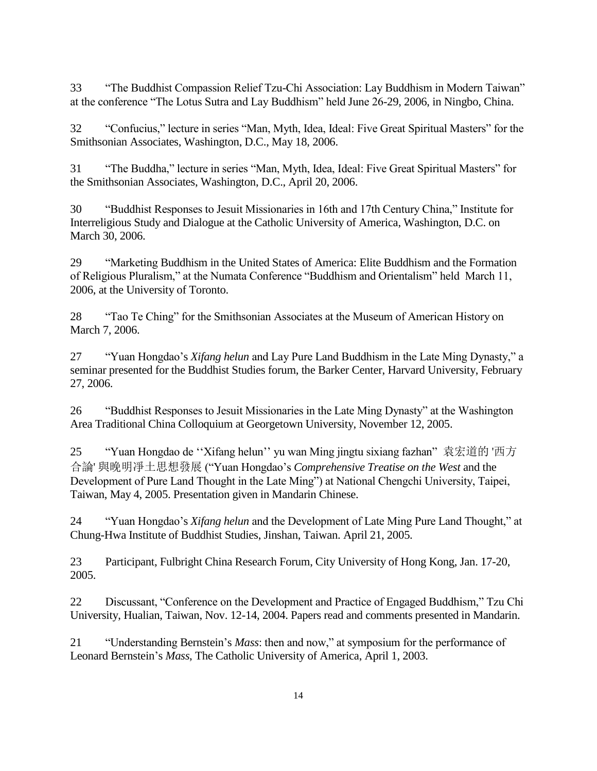33 "The Buddhist Compassion Relief Tzu-Chi Association: Lay Buddhism in Modern Taiwan" at the conference "The Lotus Sutra and Lay Buddhism" held June 26-29, 2006, in Ningbo, China.

32 "Confucius," lecture in series "Man, Myth, Idea, Ideal: Five Great Spiritual Masters" for the Smithsonian Associates, Washington, D.C., May 18, 2006.

31 "The Buddha," lecture in series "Man, Myth, Idea, Ideal: Five Great Spiritual Masters" for the Smithsonian Associates, Washington, D.C., April 20, 2006.

30 "Buddhist Responses to Jesuit Missionaries in 16th and 17th Century China," Institute for Interreligious Study and Dialogue at the Catholic University of America, Washington, D.C. on March 30, 2006.

29 "Marketing Buddhism in the United States of America: Elite Buddhism and the Formation of Religious Pluralism," at the Numata Conference "Buddhism and Orientalism" held March 11, 2006, at the University of Toronto.

28 "Tao Te Ching" for the Smithsonian Associates at the Museum of American History on March 7, 2006.

27 "Yuan Hongdao's *Xifang helun* and Lay Pure Land Buddhism in the Late Ming Dynasty," a seminar presented for the Buddhist Studies forum, the Barker Center, Harvard University, February 27, 2006.

26 "Buddhist Responses to Jesuit Missionaries in the Late Ming Dynasty" at the Washington Area Traditional China Colloquium at Georgetown University, November 12, 2005.

25 "Yuan Hongdao de ''Xifang helun'' yu wan Ming jingtu sixiang fazhan" 袁宏道的 '西方 合論' 與晚明凈土思想發展 ("Yuan Hongdao's *Comprehensive Treatise on the West* and the Development of Pure Land Thought in the Late Ming") at National Chengchi University, Taipei, Taiwan, May 4, 2005. Presentation given in Mandarin Chinese.

24 "Yuan Hongdao's *Xifang helun* and the Development of Late Ming Pure Land Thought," at Chung-Hwa Institute of Buddhist Studies, Jinshan, Taiwan. April 21, 2005.

23 Participant, Fulbright China Research Forum, City University of Hong Kong, Jan. 17-20, 2005.

22 Discussant, "Conference on the Development and Practice of Engaged Buddhism," Tzu Chi University, Hualian, Taiwan, Nov. 12-14, 2004. Papers read and comments presented in Mandarin.

21 "Understanding Bernstein's *Mass*: then and now," at symposium for the performance of Leonard Bernstein's *Mass*, The Catholic University of America, April 1, 2003.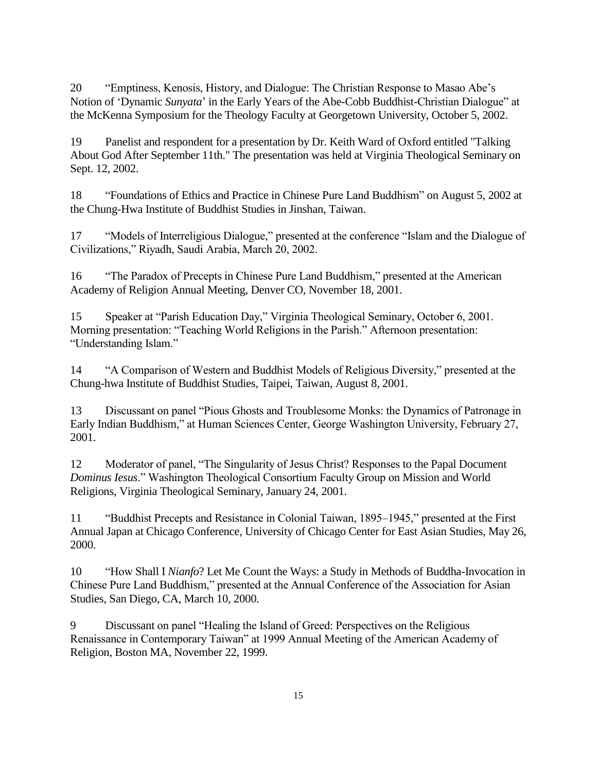20 "Emptiness, Kenosis, History, and Dialogue: The Christian Response to Masao Abe's Notion of 'Dynamic *Sunyata*' in the Early Years of the Abe-Cobb Buddhist-Christian Dialogue" at the McKenna Symposium for the Theology Faculty at Georgetown University, October 5, 2002.

19 Panelist and respondent for a presentation by Dr. Keith Ward of Oxford entitled "Talking About God After September 11th." The presentation was held at Virginia Theological Seminary on Sept. 12, 2002.

18 "Foundations of Ethics and Practice in Chinese Pure Land Buddhism" on August 5, 2002 at the Chung-Hwa Institute of Buddhist Studies in Jinshan, Taiwan.

17 "Models of Interreligious Dialogue," presented at the conference "Islam and the Dialogue of Civilizations," Riyadh, Saudi Arabia, March 20, 2002.

16 "The Paradox of Precepts in Chinese Pure Land Buddhism," presented at the American Academy of Religion Annual Meeting, Denver CO, November 18, 2001.

15 Speaker at "Parish Education Day," Virginia Theological Seminary, October 6, 2001. Morning presentation: "Teaching World Religions in the Parish." Afternoon presentation: "Understanding Islam."

14 "A Comparison of Western and Buddhist Models of Religious Diversity," presented at the Chung-hwa Institute of Buddhist Studies, Taipei, Taiwan, August 8, 2001.

13 Discussant on panel "Pious Ghosts and Troublesome Monks: the Dynamics of Patronage in Early Indian Buddhism," at Human Sciences Center, George Washington University, February 27, 2001.

12 Moderator of panel, "The Singularity of Jesus Christ? Responses to the Papal Document *Dominus Iesus*." Washington Theological Consortium Faculty Group on Mission and World Religions, Virginia Theological Seminary, January 24, 2001.

11 "Buddhist Precepts and Resistance in Colonial Taiwan, 1895–1945," presented at the First Annual Japan at Chicago Conference, University of Chicago Center for East Asian Studies, May 26, 2000.

10 "How Shall I *Nianfo*? Let Me Count the Ways: a Study in Methods of Buddha-Invocation in Chinese Pure Land Buddhism," presented at the Annual Conference of the Association for Asian Studies, San Diego, CA, March 10, 2000.

9 Discussant on panel "Healing the Island of Greed: Perspectives on the Religious Renaissance in Contemporary Taiwan" at 1999 Annual Meeting of the American Academy of Religion, Boston MA, November 22, 1999.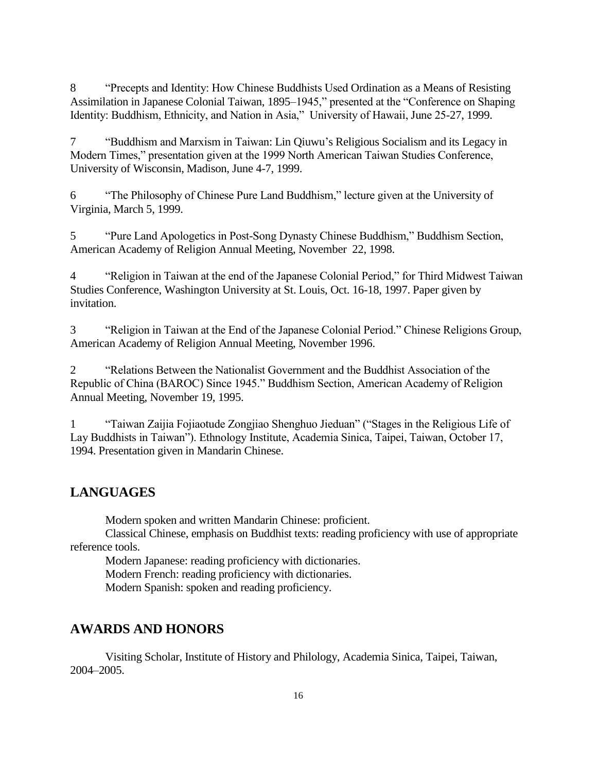8 "Precepts and Identity: How Chinese Buddhists Used Ordination as a Means of Resisting Assimilation in Japanese Colonial Taiwan, 1895–1945," presented at the "Conference on Shaping Identity: Buddhism, Ethnicity, and Nation in Asia," University of Hawaii, June 25-27, 1999.

7 "Buddhism and Marxism in Taiwan: Lin Qiuwu's Religious Socialism and its Legacy in Modern Times," presentation given at the 1999 North American Taiwan Studies Conference, University of Wisconsin, Madison, June 4-7, 1999.

6 "The Philosophy of Chinese Pure Land Buddhism," lecture given at the University of Virginia, March 5, 1999.

5 "Pure Land Apologetics in Post-Song Dynasty Chinese Buddhism," Buddhism Section, American Academy of Religion Annual Meeting, November 22, 1998.

4 "Religion in Taiwan at the end of the Japanese Colonial Period," for Third Midwest Taiwan Studies Conference, Washington University at St. Louis, Oct. 16-18, 1997. Paper given by invitation.

3 "Religion in Taiwan at the End of the Japanese Colonial Period." Chinese Religions Group, American Academy of Religion Annual Meeting, November 1996.

2 "Relations Between the Nationalist Government and the Buddhist Association of the Republic of China (BAROC) Since 1945." Buddhism Section, American Academy of Religion Annual Meeting, November 19, 1995.

1 "Taiwan Zaijia Fojiaotude Zongjiao Shenghuo Jieduan" ("Stages in the Religious Life of Lay Buddhists in Taiwan"). Ethnology Institute, Academia Sinica, Taipei, Taiwan, October 17, 1994. Presentation given in Mandarin Chinese.

# **LANGUAGES**

Modern spoken and written Mandarin Chinese: proficient.

Classical Chinese, emphasis on Buddhist texts: reading proficiency with use of appropriate reference tools.

Modern Japanese: reading proficiency with dictionaries. Modern French: reading proficiency with dictionaries. Modern Spanish: spoken and reading proficiency.

# **AWARDS AND HONORS**

Visiting Scholar, Institute of History and Philology, Academia Sinica, Taipei, Taiwan, 2004–2005.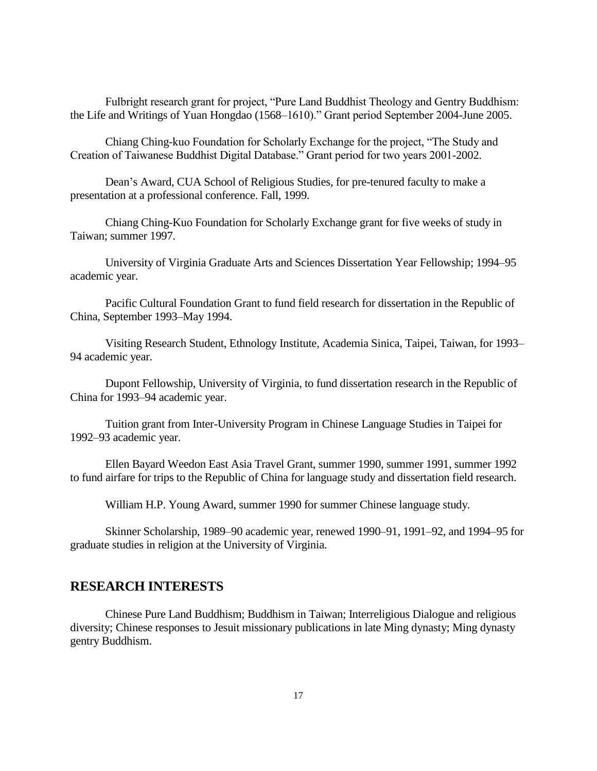Fulbright research grant for project, "Pure Land Buddhist Theology and Gentry Buddhism: the Life and Writings of Yuan Hongdao (1568–1610)." Grant period September 2004-June 2005.

Chiang Ching-kuo Foundation for Scholarly Exchange for the project, "The Study and Creation of Taiwanese Buddhist Digital Database." Grant period for two years 2001-2002.

Dean's Award, CUA School of Religious Studies, for pre-tenured faculty to make a presentation at a professional conference. Fall, 1999.

Chiang Ching-Kuo Foundation for Scholarly Exchange grant for five weeks of study in Taiwan; summer 1997.

University of Virginia Graduate Arts and Sciences Dissertation Year Fellowship; 1994–95 academic year.

Pacific Cultural Foundation Grant to fund field research for dissertation in the Republic of China, September 1993–May 1994.

Visiting Research Student, Ethnology Institute, Academia Sinica, Taipei, Taiwan, for 1993– 94 academic year.

Dupont Fellowship, University of Virginia, to fund dissertation research in the Republic of China for 1993–94 academic year.

Tuition grant from Inter-University Program in Chinese Language Studies in Taipei for 1992–93 academic year.

Ellen Bayard Weedon East Asia Travel Grant, summer 1990, summer 1991, summer 1992 to fund airfare for trips to the Republic of China for language study and dissertation field research.

William H.P. Young Award, summer 1990 for summer Chinese language study.

Skinner Scholarship, 1989–90 academic year, renewed 1990–91, 1991–92, and 1994–95 for graduate studies in religion at the University of Virginia.

## **RESEARCH INTERESTS**

Chinese Pure Land Buddhism; Buddhism in Taiwan; Interreligious Dialogue and religious diversity; Chinese responses to Jesuit missionary publications in late Ming dynasty; Ming dynasty gentry Buddhism.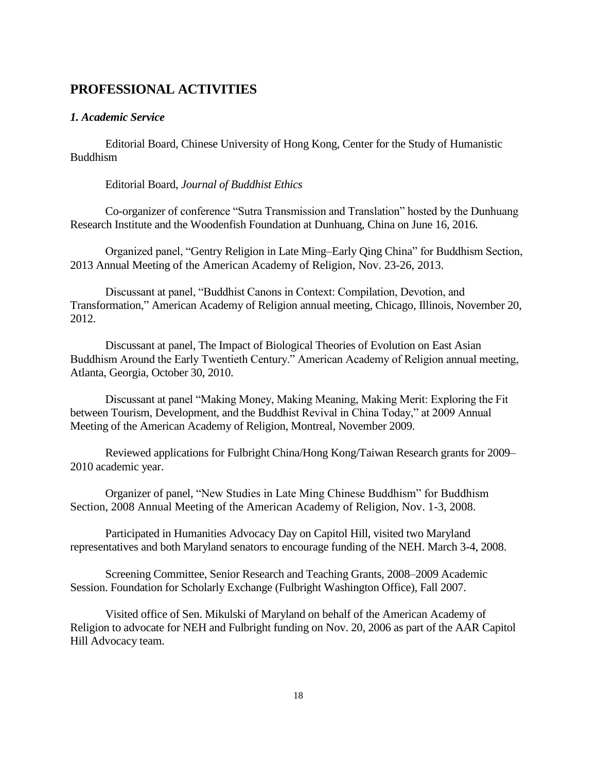# **PROFESSIONAL ACTIVITIES**

## *1. Academic Service*

Editorial Board, Chinese University of Hong Kong, Center for the Study of Humanistic Buddhism

Editorial Board, *Journal of Buddhist Ethics*

Co-organizer of conference "Sutra Transmission and Translation" hosted by the Dunhuang Research Institute and the Woodenfish Foundation at Dunhuang, China on June 16, 2016.

Organized panel, "Gentry Religion in Late Ming–Early Qing China" for Buddhism Section, 2013 Annual Meeting of the American Academy of Religion, Nov. 23-26, 2013.

Discussant at panel, "Buddhist Canons in Context: Compilation, Devotion, and Transformation," American Academy of Religion annual meeting, Chicago, Illinois, November 20, 2012.

Discussant at panel, The Impact of Biological Theories of Evolution on East Asian Buddhism Around the Early Twentieth Century." American Academy of Religion annual meeting, Atlanta, Georgia, October 30, 2010.

Discussant at panel "Making Money, Making Meaning, Making Merit: Exploring the Fit between Tourism, Development, and the Buddhist Revival in China Today," at 2009 Annual Meeting of the American Academy of Religion, Montreal, November 2009.

Reviewed applications for Fulbright China/Hong Kong/Taiwan Research grants for 2009– 2010 academic year.

Organizer of panel, "New Studies in Late Ming Chinese Buddhism" for Buddhism Section, 2008 Annual Meeting of the American Academy of Religion, Nov. 1-3, 2008.

Participated in Humanities Advocacy Day on Capitol Hill, visited two Maryland representatives and both Maryland senators to encourage funding of the NEH. March 3-4, 2008.

Screening Committee, Senior Research and Teaching Grants, 2008–2009 Academic Session. Foundation for Scholarly Exchange (Fulbright Washington Office), Fall 2007.

Visited office of Sen. Mikulski of Maryland on behalf of the American Academy of Religion to advocate for NEH and Fulbright funding on Nov. 20, 2006 as part of the AAR Capitol Hill Advocacy team.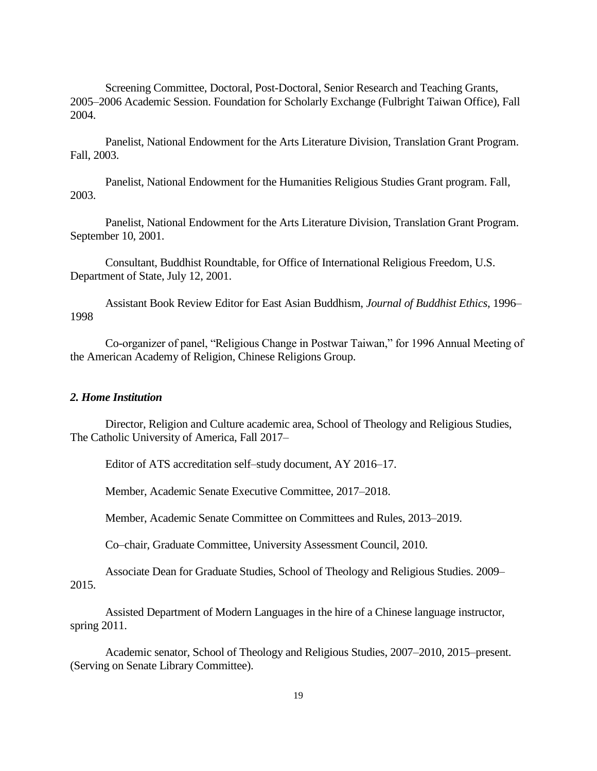Screening Committee, Doctoral, Post-Doctoral, Senior Research and Teaching Grants, 2005–2006 Academic Session. Foundation for Scholarly Exchange (Fulbright Taiwan Office), Fall 2004.

Panelist, National Endowment for the Arts Literature Division, Translation Grant Program. Fall, 2003.

Panelist, National Endowment for the Humanities Religious Studies Grant program. Fall, 2003.

Panelist, National Endowment for the Arts Literature Division, Translation Grant Program. September 10, 2001.

Consultant, Buddhist Roundtable, for Office of International Religious Freedom, U.S. Department of State, July 12, 2001.

Assistant Book Review Editor for East Asian Buddhism, *Journal of Buddhist Ethics*, 1996– 1998

Co-organizer of panel, "Religious Change in Postwar Taiwan," for 1996 Annual Meeting of the American Academy of Religion, Chinese Religions Group.

#### *2. Home Institution*

Director, Religion and Culture academic area, School of Theology and Religious Studies, The Catholic University of America, Fall 2017–

Editor of ATS accreditation self–study document, AY 2016–17.

Member, Academic Senate Executive Committee, 2017–2018.

Member, Academic Senate Committee on Committees and Rules, 2013–2019.

Co–chair, Graduate Committee, University Assessment Council, 2010.

Associate Dean for Graduate Studies, School of Theology and Religious Studies. 2009– 2015.

Assisted Department of Modern Languages in the hire of a Chinese language instructor, spring 2011.

Academic senator, School of Theology and Religious Studies, 2007–2010, 2015–present. (Serving on Senate Library Committee).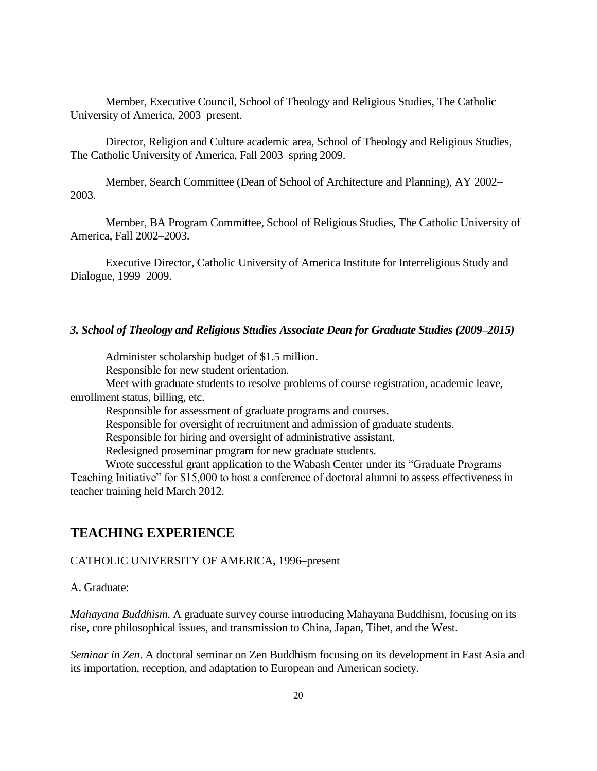Member, Executive Council, School of Theology and Religious Studies, The Catholic University of America, 2003–present.

Director, Religion and Culture academic area, School of Theology and Religious Studies, The Catholic University of America, Fall 2003–spring 2009.

Member, Search Committee (Dean of School of Architecture and Planning), AY 2002– 2003.

Member, BA Program Committee, School of Religious Studies, The Catholic University of America, Fall 2002–2003.

Executive Director, Catholic University of America Institute for Interreligious Study and Dialogue, 1999–2009.

#### *3. School of Theology and Religious Studies Associate Dean for Graduate Studies (2009–2015)*

Administer scholarship budget of \$1.5 million.

Responsible for new student orientation.

Meet with graduate students to resolve problems of course registration, academic leave, enrollment status, billing, etc.

Responsible for assessment of graduate programs and courses.

Responsible for oversight of recruitment and admission of graduate students.

Responsible for hiring and oversight of administrative assistant.

Redesigned proseminar program for new graduate students.

Wrote successful grant application to the Wabash Center under its "Graduate Programs Teaching Initiative" for \$15,000 to host a conference of doctoral alumni to assess effectiveness in teacher training held March 2012.

## **TEACHING EXPERIENCE**

#### CATHOLIC UNIVERSITY OF AMERICA, 1996–present

#### A. Graduate:

*Mahayana Buddhism*. A graduate survey course introducing Mahayana Buddhism, focusing on its rise, core philosophical issues, and transmission to China, Japan, Tibet, and the West.

*Seminar in Zen*. A doctoral seminar on Zen Buddhism focusing on its development in East Asia and its importation, reception, and adaptation to European and American society.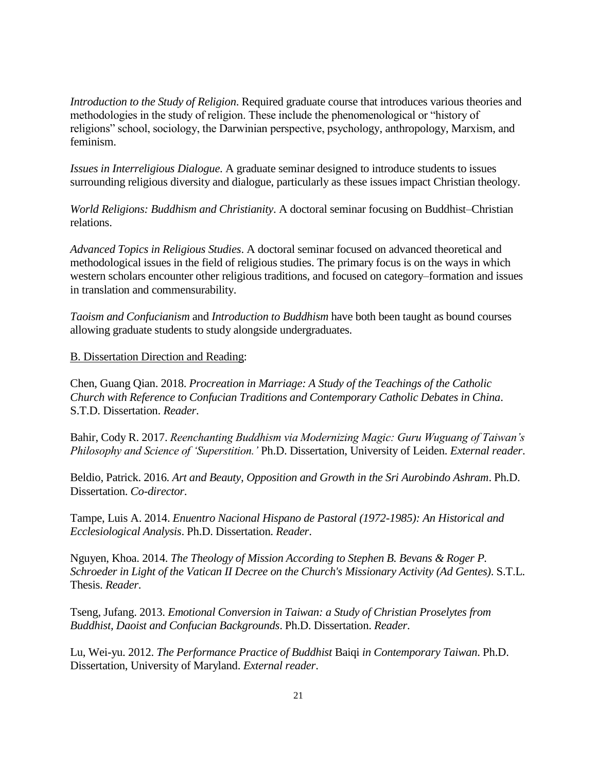*Introduction to the Study of Religion*. Required graduate course that introduces various theories and methodologies in the study of religion. These include the phenomenological or "history of religions" school, sociology, the Darwinian perspective, psychology, anthropology, Marxism, and feminism.

*Issues in Interreligious Dialogue*. A graduate seminar designed to introduce students to issues surrounding religious diversity and dialogue, particularly as these issues impact Christian theology.

*World Religions: Buddhism and Christianity*. A doctoral seminar focusing on Buddhist–Christian relations.

*Advanced Topics in Religious Studies*. A doctoral seminar focused on advanced theoretical and methodological issues in the field of religious studies. The primary focus is on the ways in which western scholars encounter other religious traditions, and focused on category–formation and issues in translation and commensurability.

*Taoism and Confucianism* and *Introduction to Buddhism* have both been taught as bound courses allowing graduate students to study alongside undergraduates.

#### B. Dissertation Direction and Reading:

Chen, Guang Qian. 2018. *Procreation in Marriage: A Study of the Teachings of the Catholic Church with Reference to Confucian Traditions and Contemporary Catholic Debates in China*. S.T.D. Dissertation. *Reader*.

Bahir, Cody R. 2017. *Reenchanting Buddhism via Modernizing Magic: Guru Wuguang of Taiwan's Philosophy and Science of 'Superstition.'* Ph.D. Dissertation, University of Leiden. *External reader*.

Beldio, Patrick. 2016. *Art and Beauty, Opposition and Growth in the Sri Aurobindo Ashram*. Ph.D. Dissertation. *Co-director*.

Tampe, Luis A. 2014. *Enuentro Nacional Hispano de Pastoral (1972-1985): An Historical and Ecclesiological Analysis*. Ph.D. Dissertation. *Reader*.

Nguyen, Khoa. 2014. *The Theology of Mission According to Stephen B. Bevans & Roger P. Schroeder in Light of the Vatican II Decree on the Church's Missionary Activity (Ad Gentes)*. S.T.L. Thesis. *Reader*.

Tseng, Jufang. 2013. *Emotional Conversion in Taiwan: a Study of Christian Proselytes from Buddhist, Daoist and Confucian Backgrounds*. Ph.D. Dissertation. *Reader*.

Lu, Wei-yu. 2012. *The Performance Practice of Buddhist* Baiqi *in Contemporary Taiwan*. Ph.D. Dissertation, University of Maryland. *External reader*.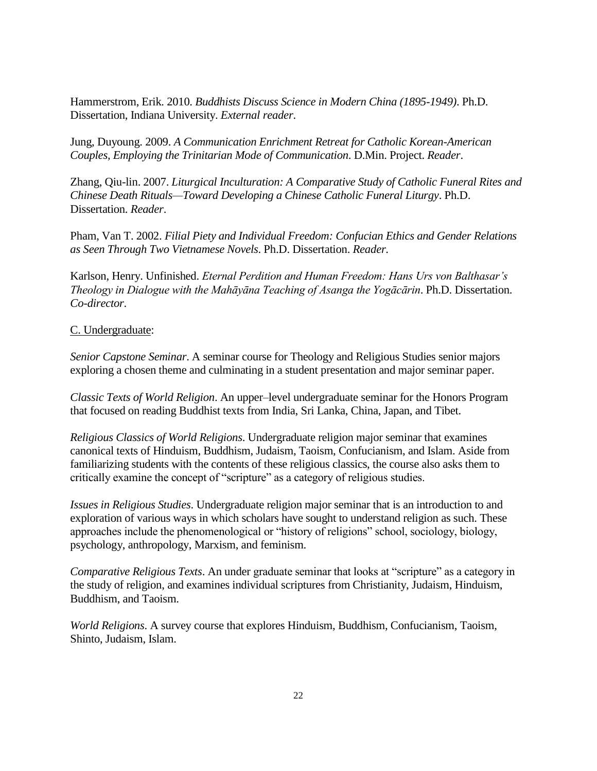Hammerstrom, Erik. 2010. *Buddhists Discuss Science in Modern China (1895-1949)*. Ph.D. Dissertation, Indiana University. *External reader*.

Jung, Duyoung. 2009. *A Communication Enrichment Retreat for Catholic Korean-American Couples, Employing the Trinitarian Mode of Communication*. D.Min. Project. *Reader*.

Zhang, Qiu-lin. 2007. *Liturgical Inculturation: A Comparative Study of Catholic Funeral Rites and Chinese Death Rituals—Toward Developing a Chinese Catholic Funeral Liturgy*. Ph.D. Dissertation. *Reader*.

Pham, Van T. 2002. *Filial Piety and Individual Freedom: Confucian Ethics and Gender Relations as Seen Through Two Vietnamese Novels*. Ph.D. Dissertation. *Reader*.

Karlson, Henry. Unfinished. *Eternal Perdition and Human Freedom: Hans Urs von Balthasar's Theology in Dialogue with the Mahāyāna Teaching of Asanga the Yogācārin*. Ph.D. Dissertation. *Co-director*.

#### C. Undergraduate:

*Senior Capstone Seminar*. A seminar course for Theology and Religious Studies senior majors exploring a chosen theme and culminating in a student presentation and major seminar paper.

*Classic Texts of World Religion*. An upper–level undergraduate seminar for the Honors Program that focused on reading Buddhist texts from India, Sri Lanka, China, Japan, and Tibet.

*Religious Classics of World Religions*. Undergraduate religion major seminar that examines canonical texts of Hinduism, Buddhism, Judaism, Taoism, Confucianism, and Islam. Aside from familiarizing students with the contents of these religious classics, the course also asks them to critically examine the concept of "scripture" as a category of religious studies.

*Issues in Religious Studies*. Undergraduate religion major seminar that is an introduction to and exploration of various ways in which scholars have sought to understand religion as such. These approaches include the phenomenological or "history of religions" school, sociology, biology, psychology, anthropology, Marxism, and feminism.

*Comparative Religious Texts*. An under graduate seminar that looks at "scripture" as a category in the study of religion, and examines individual scriptures from Christianity, Judaism, Hinduism, Buddhism, and Taoism.

*World Religions*. A survey course that explores Hinduism, Buddhism, Confucianism, Taoism, Shinto, Judaism, Islam.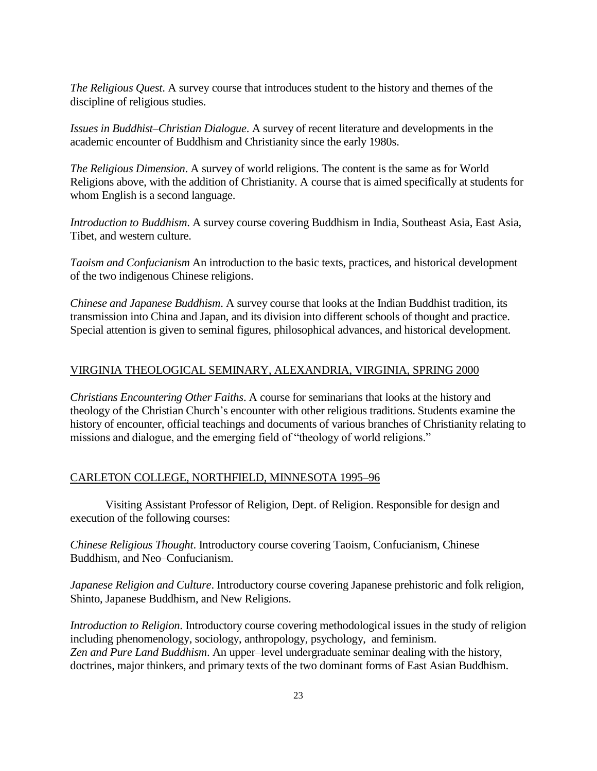*The Religious Quest*. A survey course that introduces student to the history and themes of the discipline of religious studies.

*Issues in Buddhist–Christian Dialogue*. A survey of recent literature and developments in the academic encounter of Buddhism and Christianity since the early 1980s.

*The Religious Dimension*. A survey of world religions. The content is the same as for World Religions above, with the addition of Christianity. A course that is aimed specifically at students for whom English is a second language.

*Introduction to Buddhism*. A survey course covering Buddhism in India, Southeast Asia, East Asia, Tibet, and western culture.

*Taoism and Confucianism* An introduction to the basic texts, practices, and historical development of the two indigenous Chinese religions.

*Chinese and Japanese Buddhism*. A survey course that looks at the Indian Buddhist tradition, its transmission into China and Japan, and its division into different schools of thought and practice. Special attention is given to seminal figures, philosophical advances, and historical development.

#### VIRGINIA THEOLOGICAL SEMINARY, ALEXANDRIA, VIRGINIA, SPRING 2000

*Christians Encountering Other Faiths*. A course for seminarians that looks at the history and theology of the Christian Church's encounter with other religious traditions. Students examine the history of encounter, official teachings and documents of various branches of Christianity relating to missions and dialogue, and the emerging field of "theology of world religions."

#### CARLETON COLLEGE, NORTHFIELD, MINNESOTA 1995–96

Visiting Assistant Professor of Religion, Dept. of Religion. Responsible for design and execution of the following courses:

*Chinese Religious Thought*. Introductory course covering Taoism, Confucianism, Chinese Buddhism, and Neo–Confucianism.

*Japanese Religion and Culture*. Introductory course covering Japanese prehistoric and folk religion, Shinto, Japanese Buddhism, and New Religions.

*Introduction to Religion*. Introductory course covering methodological issues in the study of religion including phenomenology, sociology, anthropology, psychology, and feminism. *Zen and Pure Land Buddhism*. An upper–level undergraduate seminar dealing with the history, doctrines, major thinkers, and primary texts of the two dominant forms of East Asian Buddhism.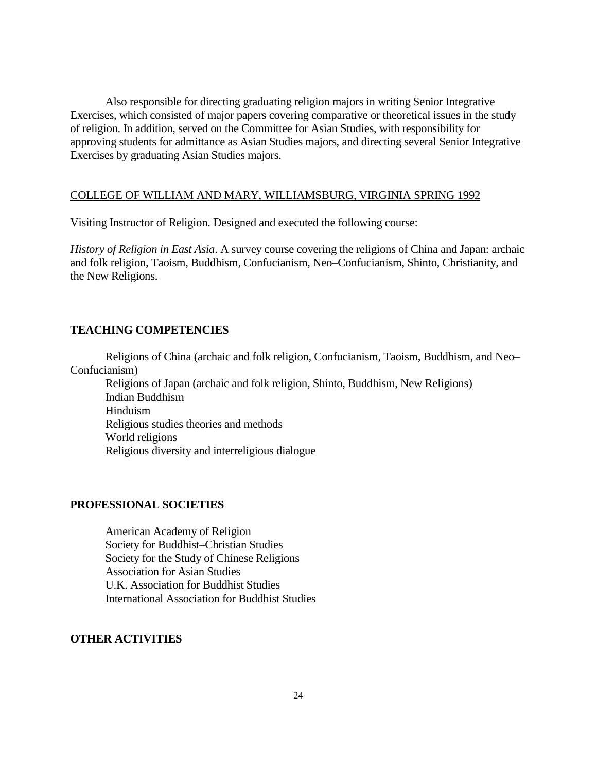Also responsible for directing graduating religion majors in writing Senior Integrative Exercises, which consisted of major papers covering comparative or theoretical issues in the study of religion. In addition, served on the Committee for Asian Studies, with responsibility for approving students for admittance as Asian Studies majors, and directing several Senior Integrative Exercises by graduating Asian Studies majors.

#### COLLEGE OF WILLIAM AND MARY, WILLIAMSBURG, VIRGINIA SPRING 1992

Visiting Instructor of Religion. Designed and executed the following course:

*History of Religion in East Asia*. A survey course covering the religions of China and Japan: archaic and folk religion, Taoism, Buddhism, Confucianism, Neo–Confucianism, Shinto, Christianity, and the New Religions.

#### **TEACHING COMPETENCIES**

Religions of China (archaic and folk religion, Confucianism, Taoism, Buddhism, and Neo– Confucianism)

Religions of Japan (archaic and folk religion, Shinto, Buddhism, New Religions) Indian Buddhism Hinduism Religious studies theories and methods World religions Religious diversity and interreligious dialogue

#### **PROFESSIONAL SOCIETIES**

American Academy of Religion Society for Buddhist–Christian Studies Society for the Study of Chinese Religions Association for Asian Studies U.K. Association for Buddhist Studies International Association for Buddhist Studies

#### **OTHER ACTIVITIES**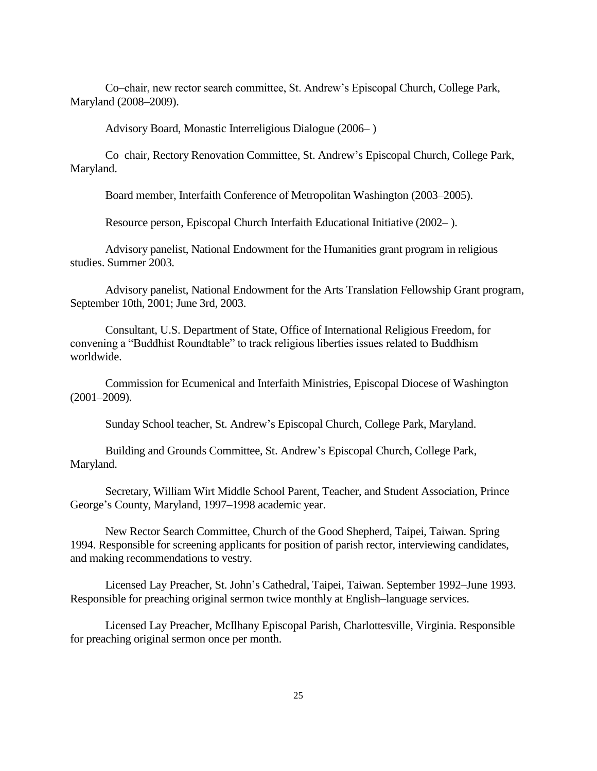Co–chair, new rector search committee, St. Andrew's Episcopal Church, College Park, Maryland (2008–2009).

Advisory Board, Monastic Interreligious Dialogue (2006– )

Co–chair, Rectory Renovation Committee, St. Andrew's Episcopal Church, College Park, Maryland.

Board member, Interfaith Conference of Metropolitan Washington (2003–2005).

Resource person, Episcopal Church Interfaith Educational Initiative (2002– ).

Advisory panelist, National Endowment for the Humanities grant program in religious studies. Summer 2003.

Advisory panelist, National Endowment for the Arts Translation Fellowship Grant program, September 10th, 2001; June 3rd, 2003.

Consultant, U.S. Department of State, Office of International Religious Freedom, for convening a "Buddhist Roundtable" to track religious liberties issues related to Buddhism worldwide.

Commission for Ecumenical and Interfaith Ministries, Episcopal Diocese of Washington (2001–2009).

Sunday School teacher, St. Andrew's Episcopal Church, College Park, Maryland.

Building and Grounds Committee, St. Andrew's Episcopal Church, College Park, Maryland.

Secretary, William Wirt Middle School Parent, Teacher, and Student Association, Prince George's County, Maryland, 1997–1998 academic year.

New Rector Search Committee, Church of the Good Shepherd, Taipei, Taiwan. Spring 1994. Responsible for screening applicants for position of parish rector, interviewing candidates, and making recommendations to vestry.

Licensed Lay Preacher, St. John's Cathedral, Taipei, Taiwan. September 1992–June 1993. Responsible for preaching original sermon twice monthly at English–language services.

Licensed Lay Preacher, McIlhany Episcopal Parish, Charlottesville, Virginia. Responsible for preaching original sermon once per month.